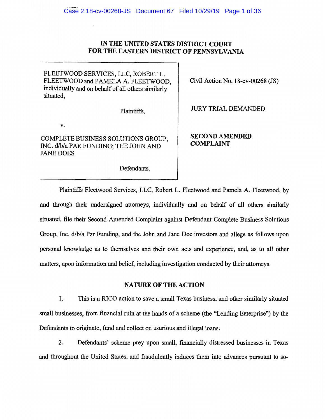# **IN THE L'NITED STATES DISTRICT COURT FOR THE EASTERN DISTRICT OF PENNSYLVANIA**

FLEETWOOD SERVICES, LLC, ROBERT L. FLEETWOOD and PAMELA A. FLEETWOOD, individually and on behalf of all others similarly situated,

Plaintiffs,

**V.** 

COMPLETE BUSINESS SOLUTIONS GROUP, INC. d/b/a PAR FUNDING; THE JOHN AND JANE DOES

Defendants.

Civil Action No. l 8-cv-00268 (JS)

JURY TRIAL DEMANDED

**SECOND AMENDED COMPLAINT** 

Plaintiffs Fleetwood Services, LLC, Robert L. Fleetwood and Pamela A. Fleetwood, by and through their undersigned attorneys, individually and on behalf of all others similarly situated, file their Second Amended Complaint against Defendant Complete Business Solutions Group, Inc. d/b/a Par Funding, and the John and Jane Doe investors and allege as follows upon personal knowledge as to themselves and their own acts and experience, and, as to all other matters, upon information and belief, including investigation conducted by their attorneys.

## **NATURE OF THE ACTION**

**1.** This is a RICO action to save a small Texas business, and other similarly situated small businesses, from financial ruin at the hands of a scheme (the "Lending Enterprise") by the Defendants to originate, fund and collect on usurious and illegal loans.

2. Defendants' scheme prey upon small, financially distressed businesses in Texas and throughout the United States, and fraudulently induces them into advances pursuant to so-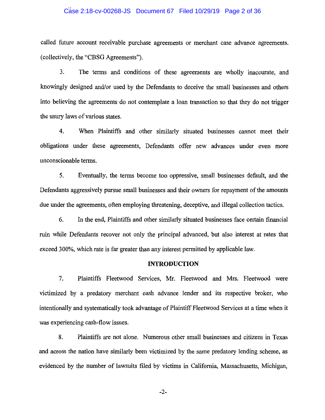### Case 2:18-cv-00268-JS Document 67 Filed 10/29/19 Page 2 of 36

called future account receivable purchase agreements or merchant case advance agreements. (collectively, the "CBSG Agreements").

3. The terms and conditions of these agreements are wholly inaccurate, and knowingly designed and/or used by the Defendants to deceive the small businesses and others into believing the agreements do not contemplate a loan transaction so that they do not trigger the usury laws of various states.

4. When Plaintiffs and other similarly situated businesses cannot meet their obligations under these agreements, Defendants offer new advances under even more unconscionable terms.

5. Eventually, the terms become too oppressive, small businesses default, and the Defendants aggressively pursue small businesses and their owners for repayment of the amounts due under the agreements, often employing threatening, deceptive, and illegal collection tactics.

6. In the end, Plaintiffs and other similarly situated businesses face certain financial ruin while Defendants recover not only the principal advanced, but also interest at rates that exceed 300%, which rate is far greater than any interest permitted by applicable law.

### **INTRODUCTION**

7. Plaintiffs Fleetwood Services, Mr. Fleetwood and Mrs. Fleetwood were victimized by a predatory merchant cash advance lender and its respective broker, who intentionally and systematically took advantage of Plaintiff Fleetwood Services at a time when it was experiencing cash-flow issues.

8. Plaintiffs are not alone. Numerous other small businesses and citizens in Texas and across the nation have similarly been victimized by the same predatory lending scheme, as evidenced by the number of lawsuits filed by victims in California, Massachusetts, Michigan,

-2-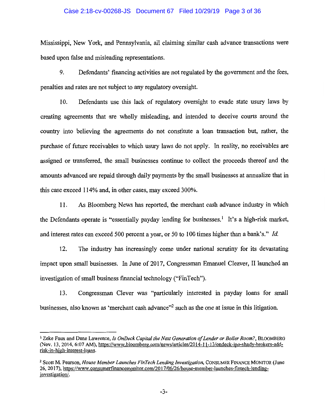### Case 2:18-cv-00268-JS Document 67 Filed 10/29/19 Page 3 of 36

Mississippi, New York, and Pennsylvania, all claiming similar cash advance transactions were based upon false and misleading representations.

9. Defendants' financing activities are not regulated by the government and the fees, penalties and rates are not subject to any regulatory oversight.

10. Defendants use this lack of regulatory oversight to evade state usury laws by creating agreements that are wholly misleading, and intended to deceive courts around the country into believing the agreements do not constitute a loan transaction but, rather, the purchase of future receivables to which usury laws do not apply. In reality, no receivables are assigned or transferred, the small businesses continue to collect the proceeds thereof and the amounts advanced are repaid through daily payments by the small businesses at annualize that in this case exceed 114% and, in other cases, may exceed 300%.

11. As Bloomberg News has reported, the merchant cash advance industry in which the Defendants operate is "essentially payday lending for businesses.<sup>1</sup> It's a high-risk market, and interest rates can exceed 500 percent a year, or 50 to 100 times higher than a bank's." *Id.* 

12. The industry has increasingly come under national scrutiny for its devastating impact upon small businesses. In June of 2017, Congressman Emanuel Cleaver, II launched an investigation of small business financial technology ('"Fin Tech").

13. Congressman Clever was "particularly interested m payday loans for small businesses, also known as 'merchant cash advance"2 such as the one at issue in this litigation.

<sup>1</sup> Zeke Faux and Dune Lawrence, *Is OnDeck Capital the Next Generation of Lender or Boiler Room?,* BLOOMBERG (Nov. 13, 2014, 6:07 AM), https://www.bloomberg.com/news/articles/2014-l l-13/ondeck-ipo-shady-brokers-ad<l: risk-in-high-interest-loans.

<sup>&</sup>lt;sup>2</sup> Scott M. Pearson, *House Member Launches FinTech Lending Investigation*, CONSUMER FINANCE MONITOR (June 26, 2017), https://www.consumerfinancemonitor.com/20 l 7 /06/26/house-member-launches-fintech-lendinginvestigation/.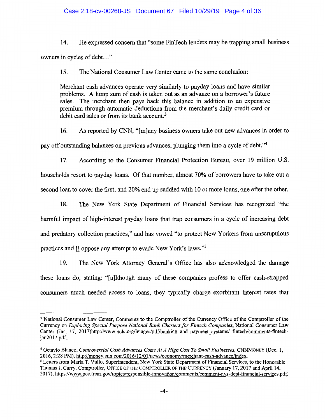# Case 2:18-cv-00268-JS Document 67 Filed 10/29/19 Page 4 of 36

14. He expressed concern that "some FinTech lenders may be trapping small business owners in cycles of debt. .. "

15. The National Consumer Law Center came to the same conclusion:

Merchant cash advances operate very similarly to payday loans and have similar problems. A lump sum of cash is taken out as an advance on a borrower's future sales. The merchant then pays back this balance in addition to an expensive premium through automatic deductions from the merchant's daily credit card or debit card sales or from its bank account.<sup>3</sup>

16. As reported by CNN, "[m]any business owners take out new advances in order to pay off outstanding balances on previous advances, plunging them into a cycle of debt."<sup>4</sup>

17. According to the Consumer Financial Protection Bureau, over 19 million U.S. households resort to payday loans. Of that number, almost 70% of borrowers have to take out a second loan to cover the first, and 20% end up saddled with 10 or more loans, one after the other.

18. The New York State Department of Financial Services has recognized "the harmful impact of high-interest payday loans that trap consumers in a cycle of increasing debt and predatory collection practices," and has vowed ''to protect New Yorkers from unscrupulous practices and [] oppose any attempt to evade New York's laws."<sup>5</sup>

19. The New York Attorney General's Office has also acknowledged the damage these loans do, stating: "[a]lthough many of these companies profess to offer cash-strapped consumers much needed access to loans, they typically charge exorbitant interest rates that

<sup>3</sup> National Consumer Law Center, Comments to the Comptroller of the Currency Office of the Comptroller of the Currency on *Exploring Special Purpose National Bank Charters for Fintech Companies,* National Consumer Law Center (Jan. 17, 2017)http://www.nclc.org/images/pdf/banking\_and\_payment\_systems/\_fintech/comments-fintechjan2017.pdf..

<sup>4</sup>Octavio Blanco, *Controversial Cash Advances Come At A High Cost To Small Businesses,* CNNMONEY (Dec. 1, 2016, 2:28 PM), http://money.cnn.com/2016/12/01/news/economy/merchant-cash-advance/index.

<sup>5</sup> Letters from Maria T. Vullo, Superintendent, New York State Department of Financial Services, to the Honorable Thomas J. Curry, Comptroller, OFFICE OF THE COMPTROLLER OF THE CURRENCY (January 17, 2017 and April 14, 2017), https :/ Jwww .occ. treas. gov/topics/responsible-innovation/comments/comment-nys-dept-financial-services. pdf.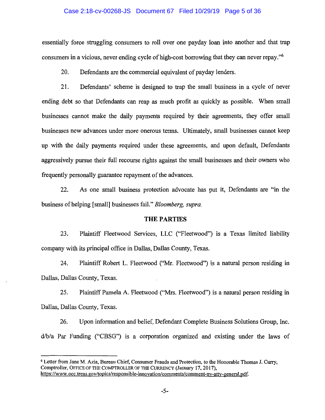### Case 2:18-cv-00268-JS Document 67 Filed 10/29/19 Page 5 of 36

essentially force struggling consumers to roll over one payday loan into another and that trap consumers in a vicious, never ending cycle of high-cost borrowing that they can never repay."6

20. Defendants are the commercial equivalent of payday lenders.

21. Defendants' scheme is designed to trap the small business in a cycle of never ending debt so that Defendants can reap as much profit as quickly as possible. When small businesses cannot make the daily payments required by their agreements, they offer small businesses new advances under more onerous terms. Ultimately, small businesses cannot keep up with the daily payments required under these agreements, and upon default, Defendants aggressively pursue their full recourse rights against the small businesses and their owners who frequently personally guarantee repayment of the advances.

22. As one small business protection advocate has put it, Defendants are "in the business of helping [small] businesses fail." *Bloomberg, supra.* 

## **THE PARTIES**

23. Plaintiff Fleetwood Services, LLC ("Fleetwood") 1s a Texas limited liability company with its principal office in Dallas, Dallas County, Texas.

24. Plaintiff Robert L. Fleetwood ("Mr. Fleetwood") is a natural person residing in Dallas, Dallas County, Texas.

25. Plaintiff Pamela A. Fleetwood ("Mrs. Fleetwood") is a natural person residing in Dallas, Dallas County, Texas.

26. Upon information and belief, Defendant Complete Business Solutions Group, Inc. d/b/a Par Funding ("CBSG") is a corporation organized and existing under the laws of

<sup>6</sup>Letter from Jane M. Azia, Bureau Chief, Consumer Frauds and Protection, to the Honorable Thomas J. Curry, Comptroller, OFFICE OF THE COMPTROLLER OF THE CURRENCY (January 17, 2017), https://www.occ.treas.gov/topics/responsible-innovation/comments/comment-ny-atty-general.pdf.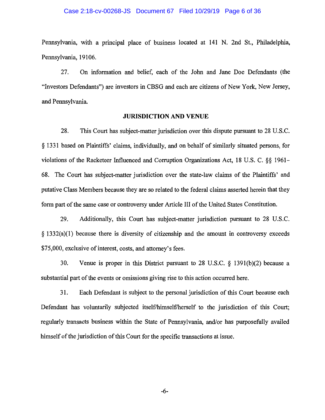### Case 2:18-cv-00268-JS Document 67 Filed 10/29/19 Page 6 of 36

Pennsylvania, with a principal place of business located at 141 N. 2nd St., Philadelphia, Pennsylvania, 19106.

27. On information and belief, each of the John and Jane Doe Defendants (the "Investors Defendants") are investors in CBSG and each are citizens of New York, New Jersey, and Pennsylvania.

#### **JURISDICTION AND VENUE**

28. This Court has subject-matter jurisdiction over this dispute pursuant to 28 U.S.C. § 1331 based on Plaintiffs' claims, individually, and on behalf of similarly situated persons, for violations of the Racketeer Influenced and Corruption Organizations Act, 18 U.S. C. §§ 1961- 68. The Court has subject-matter jurisdiction over the state-law claims of the Plaintiffs' and putative Class Members because they are so related to the federal claims asserted herein that they form part of the same case or controversy under Article III of the United States Constitution.

29. Additionally, this Court has subject-matter jurisdiction pursuant to 28 U.S.C. § 1332(a)(l) because there is diversity of citizenship and the amount in controversy exceeds \$75,000, exclusive of interest, costs, and attorney's fees.

30. Venue is proper in this District pursuant to 28 U.S.C. § 139l(b)(2) because a substantial part of the events or omissions giving rise to this action occurred here.

31. Each Defendant is subject to the personal jurisdiction of this Court because each Defendant has voluntarily subjected itself/himself/herself to the jurisdiction of this Court; regularly transacts business within the State of Pennsylvania, and/or has purposefully availed himself of the jurisdiction of this Court for the specific transactions at issue.

-6-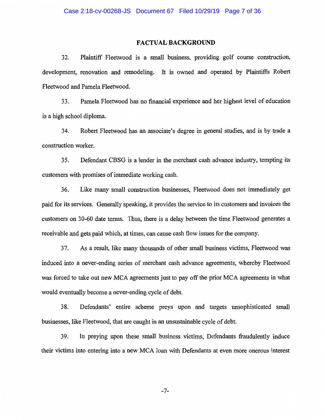### **FACTUAL BACKGROUND**

32. Plaintiff Fleetwood is a small business, providing golf course construction, development, renovation and remodeling. It is owned and operated by Plaintiffs Robert Fleetwood and Pamela Fleetwood.

33. Pamela Fleetwood has no financial experience and her highest level of education is a high school diploma.

34. Robert Fleetwood has an associate's degree in general studies, and is by trade a construction worker.

35. Defendant CBSG is a lender in the merchant cash advance industry, tempting its customers with promises of immediate working cash.

36. Like many small construction businesses, Fleetwood does not immediately get paid for its services. Generally speaking, it provides the service to its customers and invoices the customers on 30-60 date terms. Thus, there is a delay between the time Fleetwood generates a receivable and gets paid which, at times, can cause cash flow issues for the company.

3 7. As a result, like many thousands of other small business victims, Fleetwood was induced into a never-ending series of merchant cash advance agreements, whereby Fleetwood was forced to take out new MCA agreements just to pay off the prior MCA agreements in what would eventually become a never-ending cycle of debt.

38. Defendants' entire scheme preys upon and targets unsophisticated small businesses, like Fleetwood, that are caught in an unsustainable cycle of debt.

39. In preying upon these small business victims, Defendants fraudulently induce their victims into entering into a new MCA loan with Defendants at even more onerous interest

-7-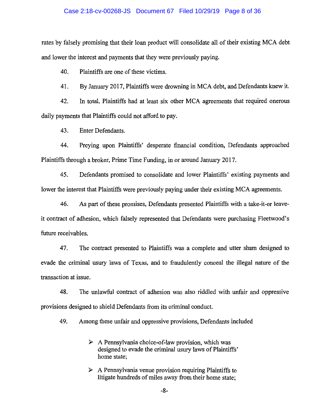### Case 2:18-cv-00268-JS Document 67 Filed 10/29/19 Page 8 of 36

rates by falsely promising that their loan product will consolidate all of their existing MCA debt and lower the interest and payments that they were previously paying.

40. Plaintiffs are one of these victims.

41. By January 2017, Plaintiffs were drowning in MCA debt, and Defendants knew it.

42. In total, Plaintiffs had at least six other MCA agreements that required onerous daily payments that Plaintiffs could not afford to pay.

43. Enter Defendants.

44. Preying upon Plaintiffs' desperate financial condition, Defendants approached Plaintiffs through a broker, Prime Time Funding, in or around January 2017.

45. Defendants promised to consolidate and lower Plaintiffs' existing payments and lower the interest that Plaintiffs were previously paying under their existing MCA agreements.

46. As part of these promises, Defendants presented Plaintiffs with a take-it-or leaveit contract of adhesion, which falsely represented that Defendants were purchasing Fleetwood's future receivables.

47. The contract presented to Plaintiffs was a complete and utter sham designed to evade the criminal usury laws of Texas, and to fraudulently conceal the illegal nature of the transaction at issue.

48. The unlawful contract of adhesion was also riddled with unfair and oppressive provisions designed to shield Defendants from its criminal conduct.

49. Among these unfair and oppressive provisions, Defendants included

- $\triangleright$  A Pennsylvania choice-of-law provision, which was designed to evade the criminal usury laws of Plaintiffs' home state;
- $\triangleright$  A Pennsylvania venue provision requiring Plaintiffs to litigate hundreds of miles away from their home state;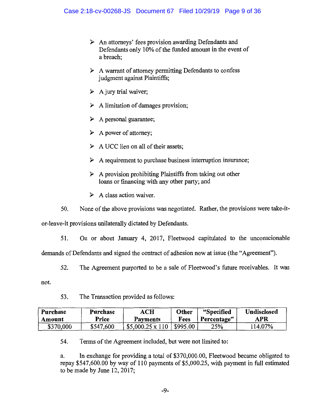- $\triangleright$  An attorneys' fees provision awarding Defendants and Defendants only 10% of the funded amount in the event of a breach;
- $\triangleright$  A warrant of attorney permitting Defendants to confess judgment against Plaintiffs;
- $\triangleright$  A jury trial waiver;
- $\triangleright$  A limitation of damages provision;
- > A personal guarantee;
- A power of attorney;
- $\triangleright$  A UCC lien on all of their assets;
- $\triangleright$  A requirement to purchase business interruption insurance;
- $\triangleright$  A provision prohibiting Plaintiffs from taking out other loans or financing with any other party; and
- $\triangleright$  A class action waiver.

50. None of the above provisions was negotiated. Rather, the provisions were take-it-

or-leave-it provisions unilaterally dictated by Defendants.

51. On or about January 4, 2017, Fleetwood capitulated to the unconscionable

demands of Defendants and signed the contract of adhesion now at issue (the "Agreement").

52. The Agreement purported to be a sale of Fleetwood's future receivables. It was

not.

53. The Transaction provided as follows:

| Purchase  | Purchase  | ACH                    | Other    | "Specified  | <b>Undisclosed</b> |
|-----------|-----------|------------------------|----------|-------------|--------------------|
| Amount    | Price     | Payments               | Fees     | Percentage" | APR                |
| \$370,000 | \$547,600 | $$5,000.25 \times 110$ | \$995.00 | 25%         | l 14.07%           |

54. Terms of the Agreement included, but were not limited to:

a. In exchange for providing a total of \$370,000.00, Fleetwood became obligated to repay \$547,600.00 by way of 110 payments of \$5,000.25, with payment in full estimated to be made by June 12, 2017;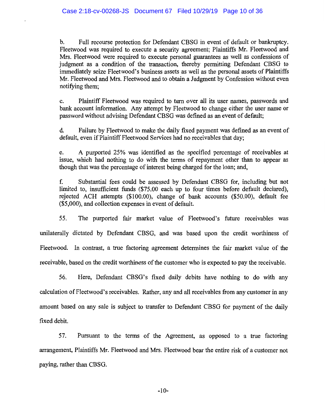b. Full recourse protection for Defendant CBSG in event of default or bankruptcy. Fleetwood was required to execute a security agreement; Plaintiffs Mr. Fleetwood and Mrs. Fleetwood were required to execute personal guarantees as well as confessions of judgment as a condition of the transaction, thereby permitting Defendant CBSG to immediately seize Fleetwood's business assets as well as the personal assets of Plaintiffs Mr. Fleetwood and Mrs. Fleetwood and to obtain a Judgment by Confession without even notifying them;

c. Plaintiff Fleetwood was required to turn over all its user names, passwords and bank account information. Any attempt by Fleetwood to change either the user name or password without advising Defendant CBSG was defined as an event of default;

d. Failure by Fleetwood to make the daily fixed payment was defined as an event of default, even if Plaintiff Fleetwood Services had no receivables that day;

e. A purported 25% was identified as the specified percentage of receivables at issue, which had nothing to do with the terms of repayment other than to appear as though that was the percentage of interest being charged for the loan; and,

f. Substantial fees could be assessed by Defendant CBSG for, including but not limited to, insufficient funds (\$75.00 each up to four times before default declared), rejected ACH attempts (\$100.00), change of bank accounts (\$50.00), default fee (\$5,000), and collection expenses in event of default.

55. The purported fair market value of Fleetwood's future receivables was unilaterally dictated by Defendant CBSG, and was based upon the credit worthiness of Fleetwood. In contrast, a true factoring agreement determines the fair market value of the receivable, based on the credit worthiness of the customer who is expected to pay the receivable.

56. Here, Defendant CBSG's fixed daily debits have nothing to do with any calculation of Fleetwood's receivables. Rather, any and all receivables from any customer in any amount based on any sale is subject to transfer to Defendant CBSG for payment of the daily fixed debit.

57. Pursuant to the terms of the Agreement, as opposed to a true factoring arrangement, Plaintiffs Mr. Fleetwood and Mrs. Fleetwood bear the entire risk of a customer not paying, rather than CBSG.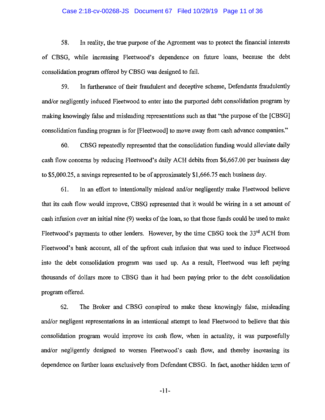### Case 2:18-cv-00268-JS Document 67 Filed 10/29/19 Page 11 of 36

58. In reality, the true purpose of the Agreement was to protect the financial interests of CBSG, while increasing Fleetwood's dependence on future loans, because the debt consolidation program offered by CBSG was designed to fail.

59. In furtherance of their fraudulent and deceptive scheme, Defendants fraudulently and/or negligently induced Fleetwood to enter into the purported debt consolidation program by making knowingly false and misleading representations such as that "the purpose of the [CBSG] consolidation funding program is for [Fleetwood] to move away from cash advance companies."

60. CBSG repeatedly represented that the consolidation funding would alleviate daily cash flow concerns by reducing Fleetwood's daily ACH debits from \$6,667.00 per business day to \$5,000.25, a savings represented to be of approximately \$1,666.75 each business day.

61. In an effort to intentionally mislead and/or negligently make Fleetwood believe that its cash flow would improve, CBSG represented that it would be wiring in a set amount of cash infusion over an initial nine (9) weeks of the loan, so that those funds could be used to make Fleetwood's payments to other lenders. However, by the time CBSG took the 33<sup>rd</sup> ACH from Fleetwood's bank account, all of the upfront cash infusion that was used to induce Fleetwood into the debt consolidation program was used up. As a result, Fleetwood was left paying thousands of dollars more to CBSG than it had been paying prior to the debt consolidation program offered.

62. The Broker and CBSG conspired to make these knowingly false, misleading and/or negligent representations in an intentional attempt to lead Fleetwood to believe that this consolidation program would improve its cash flow, when in actuality, it was purposefully and/or negligently designed to worsen Fleetwood's cash flow, and thereby increasing its dependence on further loans exclusively from Defendant CBSG. In fact, another hidden term of

-11-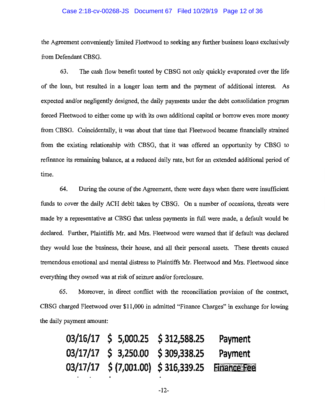#### Case 2:18-cv-00268-JS Document 67 Filed 10/29/19 Page 12 of 36

the Agreement conveniently limited Fleetwood to seeking any further business loans exclusively from Defendant CBSG.

63. The cash flow benefit touted by CBSG not only quickly evaporated over the life of the loan, but resulted in a longer loan term and the payment of additional interest. As expected and/or negligently designed, the daily payments under the debt consolidation program forced Fleetwood to either come up with its own additional capital or borrow even more money from CBSG. Coincidentally, it was about that time that Fleetwood became financially strained from the existing relationship with CBSG, that it was offered an opportunity by CBSG to refinance its remaining balance, at a reduced daily rate, but for an extended additional period of time.

64. During the course of the Agreement, there were days when there were insufficient funds to cover the daily ACH debit taken by CBSG. On a number of occasions, threats were made by a representative at CBSG that unless payments in full were made, a default would be declared. Further, Plaintiffs Mr. and Mrs. Fleetwood were warned that if default was declared they would lose the business, their house, and all their personal assets. These threats caused tremendous emotional and mental distress to Plaintiffs Mr. Fleetwood and Mrs. Fleetwood since everything they owned was at risk of seizure and/or foreclosure.

65. Moreover, in direct conflict with the reconciliation provision of the contract, CBSG charged Fleetwood over \$11,000 in admitted "Finance Charges" in exchange for lowing the daily payment amount:

|  | 03/16/17 \$ 5,000.25 \$ 312,588.25             | Payment |
|--|------------------------------------------------|---------|
|  | 03/17/17 \$ 3,250.00 \$ 309,338.25             | Payment |
|  | 03/17/17 \$(7,001.00) \$316,339.25 Einance Fee |         |

-12-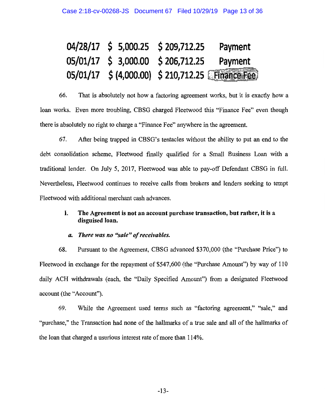|  | 04/28/17 \$ 5,000.25 \$ 209,712.25         | Payment                                          |
|--|--------------------------------------------|--------------------------------------------------|
|  | 05/01/17 \$ 3,000.00 \$ 206,712.25 Payment |                                                  |
|  |                                            | 05/01/17 \$ (4,000.00) \$ 210,712.25 Finance Fee |

66. That is absolutely not how a factoring agreement works, but it is exactly how a loan works. Even more troubling, CBSG charged Fleetwood this "Finance Fee" even though there is absolutely no right to charge a "Finance Fee" anywhere in the agreement.

67. After being trapped in CBSG's tentacles without the ability to put an end to the debt consolidation scheme, Fleetwood finally qualified for a Small Business Loan with a traditional lender. On July 5, 2017, Fleetwood was able to pay-off Defendant CBSG in full. Nevertheless, Fleetwood continues to receive calls from brokers and lenders seeking to tempt Fleetwood with additional merchant cash advances.

# I. **The Agreement is not an account purchase transaction, but rather, it is a disguised loan.**

## *a. There was no "sale" of receivables.*

68. Pursuant to the Agreement, CBSG advanced \$370,000 (the "Purchase Price") to Fleetwood in exchange for the repayment of \$547,600 (the "Purchase Amount") by way of 110 daily ACH withdrawals (each, the "Daily Specified Amount") from a designated Fleetwood account (the "Account").

69. While the Agreement used terms such as "factoring agreement," "sale," and "purchase," the Transaction had none of the hallmarks of a true sale and all of the hallmarks of the loan that charged a usurious interest rate of more than 114%.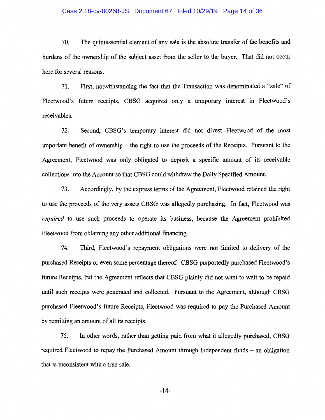#### Case 2:18-cv-00268-JS Document 67 Filed 10/29/19 Page 14 of 36

70. The quintessential element of any sale is the absolute transfer of the benefits and burdens of the ownership of the subject asset from the seller to the buyer. That did not occur here for several reasons.

71. First, notwithstanding the fact that the Transaction was denominated a "sale" of Fleetwood's future receipts, CBSG acquired only a temporary interest in Fleetwood's receivables.

72. Second, CBSG's temporary interest did not divest Fleetwood of the most important benefit of ownership – the right to use the proceeds of the Receipts. Pursuant to the Agreement, Fleetwood was only obligated to deposit a specific amount of its receivable collections into the Account so that CBSG could withdraw the Daily Specified Amount.

73. Accordingly, by the express terms of the Agreement, Fleetwood retained the right to use the proceeds of the very assets CBSG was allegedly purchasing. In fact, Fleetwood was *required* to use such proceeds to operate its business, because the Agreement prohibited Fleetwood from obtaining any other additional financing.

74. Third, Fleetwood's repayment obligations were not limited to delivery of the purchased Receipts or even some percentage thereof. CBSG purportedly purchased Fleetwood's future Receipts, but the Agreement reflects that CBSG plainly did not want to wait to be repaid until such receipts were generated and collected. Pursuant to the Agreement, although CBSG purchased Fleetwood's future Receipts, Fleetwood was required to pay the Purchased Amount by remitting an amount of all its receipts.

75. In other words, rather than getting paid from what it allegedly purchased, CBSG required Fleetwood to repay the Purchased Amount through independent funds – an obligation that is inconsistent with a true sale.

-14-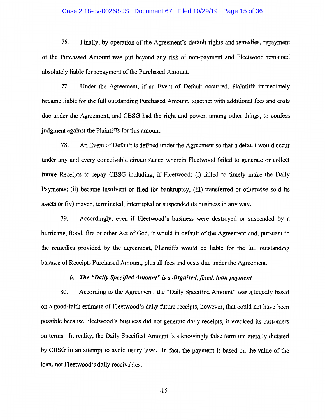#### Case 2:18-cv-00268-JS Document 67 Filed 10/29/19 Page 15 of 36

76. Finally, by operation of the Agreement's default rights and remedies, repayment of the Purchased Amount was put beyond any risk of non-payment and Fleetwood remained absolutely liable for repayment of the Purchased Amount.

77. Under the Agreement, if an Event of Default occurred, Plaintiffs immediately became liable for the full outstanding Purchased Amount, together with additional fees and costs due under the Agreement, and CBSG had the right and power, among other things, to confess judgment against the Plaintiffs for this amount.

78. An Event of Default is defined under the Agreement so that a default would occur under any and every conceivable circumstance wherein Fleetwood failed to generate or collect future Receipts to repay CBSG including, if Fleetwood: (i) failed to timely make the Daily Payments; (ii) became insolvent or filed for bankruptcy, (iii) transferred or otherwise sold its assets or (iv) moved, terminated, interrupted or suspended its business in any way.

79. Accordingly, even if Fleetwood's business were destroyed or suspended by a hurricane, flood, fire or other Act of God, it would in default of the Agreement and, pursuant to the remedies provided by the agreement, Plaintiffs would be liable for the full outstanding balance of Receipts Purchased Amount, plus all fees and costs due under the Agreement.

## *b.* The "Daily Specified Amount" is a disguised, fixed, loan payment

80. According to the Agreement, the "Daily Specified Amount" was allegedly based on a good-faith estimate of Fleetwood's daily future receipts, however, that could not have been possible because Fleetwood's business did not generate daily receipts, it invoiced its customers on terms. In reality, the Daily Specified Amount is a knowingly false term unilaterally dictated by CBSG in an attempt to avoid usury laws. In fact, the payment is based on the value of the loan, not Fleetwood's daily receivables.

-15-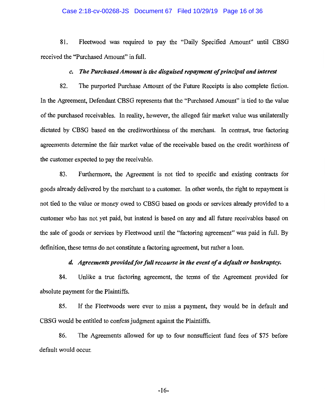### Case 2:18-cv-00268-JS Document 67 Filed 10/29/19 Page 16 of 36

81. Fleetwood was required to pay the "Daily Specified Amount" until CBSG received the "Purchased Amount" in full.

## *c. The Purchased Amount* is *the disguised repayment of principal and interest*

82. The purported Purchase Amount of the Future Receipts is also complete fiction. In the Agreement, Defendant CBSG represents that the "Purchased Amount" is tied to the value of the purchased receivables. In reality, however, the alleged fair market value was unilaterally dictated by CBSG based on the creditworthiness of the merchant. In contrast, true factoring agreements determine the fair market value of the receivable based on the credit worthiness of the customer expected to pay the receivable.

83. Furthermore, the Agreement is not tied to specific and existing contracts for goods already delivered by the merchant to a customer. In other words, the right to repayment is not tied to the value or money owed to CBSG based on goods or services already provided to a customer who has not yet paid, but instead is based on any and all future receivables based on the sale of goods or services by Fleetwood until the "factoring agreement" was paid in full. By definition, these terms do not constitute a factoring agreement, but rather a loan.

## *d. Agreements provided for full recourse in the event of a default or bankruptcy.*

84. Unlike a true factoring agreement, the terms of the Agreement provided for absolute payment for the Plaintiffs.

85. If the Fleetwoods were ever to miss a payment, they would be in default and CBSG would be entitled to confess judgment against the Plaintiffs.

86. The Agreements allowed for up to four nonsufficient fund fees of \$75 before default would occur.

-16-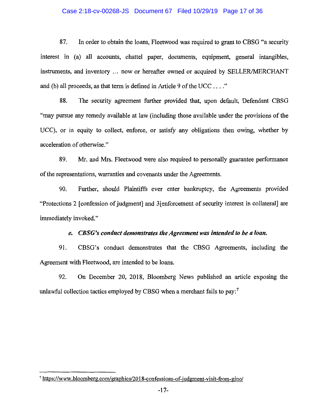### Case 2:18-cv-00268-JS Document 67 Filed 10/29/19 Page 17 of 36

87. In order to obtain the loans, Fleetwood was required to grant to CBSG "a security interest in (a) all accounts, chattel paper, documents, equipment, general intangibles, instruments, and inventory ... now or hereafter owned or acquired by SELLER/MERCHANT and (b) all proceeds, as that term is defined in Article 9 of the UCC .... "

88. The security agreement further provided that, upon default, Defendant CBSG "may pursue any remedy available at law (including those available under the provisions of the UCC), or in equity to collect, enforce, or satisfy any obligations then owing, whether by acceleration of otherwise."

89. Mr. and Mrs. Fleetwood were also required to personally guarantee performance of the representations, warranties and covenants under the Agreements.

90. Further, should Plaintiffs ever enter bankruptcy, the Agreements provided "Protections 2 [ confession of judgment] and 3[ enforcement of security interest in collateral] are immediately invoked."

## *e. CBSG 's conduct demonstrates the Agreement was intended to he a loan.*

91. CBSG's conduct demonstrates that the CBSG Agreements, including the Agreement with Fleetwood, are intended to be loans.

92. On December 20, 2018, Bloomberg News published an article exposing the unlawful collection tactics employed by CBSG when a merchant fails to pay:<sup>7</sup>

<sup>7</sup>https://www.bloomberg.com/ graphics/2018-confessions-of-judgment-visit-from-gino/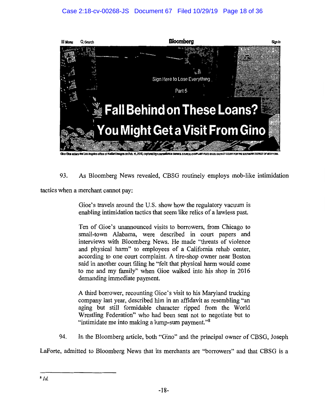

lant Imports on Fob. 15, 2018, captured by a sur-

93. As Bloomberg News revealed, CBSG routinely employs mob-like intimidation

tactics when a merchant cannot pay:

Gioe's travels around the U.S. show how the regulatory vacuum is enabling intimidation tactics that seem like relics of a lawless past.

Ten of Gioe's unannounced visits to borrowers, from Chicago to small-town Alabama, were described in court papers and interviews with Bloomberg News. He made "threats of violence and physical harm" to employees of a California rehab center, according to one court complaint. A tire-shop owner near Boston said in another court filing he "felt that physical harm would come to me and my family" when Gioe walked into his shop in 2016 demanding immediate payment.

A third borrower, recounting Gioe's visit to his Maryland trucking company last year, described him in an affidavit as resembling "an aging but still formidable character ripped from the World Wrestling Federation" who had been sent not to negotiate but to "intimidate me into making a lump-sum payment."<sup>8</sup>

94. In the Bloomberg article, both "Gino" and the principal owner of CBSG, Joseph

Laforte, admitted to Bloomberg News that its merchants are "borrowers" and that CBSG is a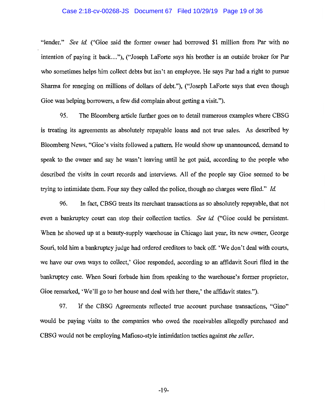#### Case 2:18-cv-00268-JS Document 67 Filed 10/29/19 Page 19 of 36

"lender." *See id* ("Gioe said the former owner had borrowed \$1 million from Par with no intention of paying it back ... "), ("Joseph Laforte says his brother is an outside broker for Par who sometimes helps him collect debts but isn't an employee. He says Par had a right to pursue Sharma for reneging on millions of dollars of debt."), ("Joseph Laforte says that even though Gioe was helping borrowers, a few did complain about getting a visit.").

95. The Bloomberg article further goes on to detail numerous examples where CBSG is treating its agreements as absolutely repayable loans and not true sales. As described by Bloomberg News, "Gioe's visits followed a pattern. He would show up unannounced, demand to speak to the owner and say he wasn't leaving until he got paid, according to the people who described the visits in court records and interviews. All of the people say Gioe seemed to be trying to intimidate them. Four say they called the police, though no charges were filed." *Id* 

96. In fact, CBSG treats its merchant transactions as so absolutely repayable, that not even a bankruptcy court can stop their collection tactics. *See id* ("Gioe could be persistent. When he showed up at a beauty-supply warehouse in Chicago last year, its new owner, George Souri, told him a bankruptcy judge had ordered creditors to back off. 'We don't deal with courts, we have our own ways to collect,' Gioe responded, according to an affidavit Souri filed in the bankruptcy case. When Souri forbade him from speaking to the warehouse's former proprietor, Gioe remarked, 'We'll go to her house and deal with her there,' the affidavit states.").

97. If the CBSG Agreements reflected true account purchase transactions, "Gino" would be paying visits to the companies who owed the receivables allegedly purchased and CBSG would not be employing Mafioso-style intimidation tactics against *the seller.*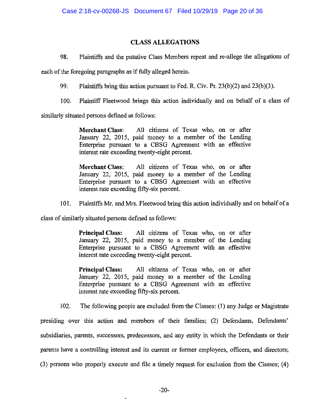# **CLASS ALLEGATIONS**

98. Plaintiffs and the putative Class Members repeat and re-allege the allegations of

each of the foregoing paragraphs as if fully alleged herein.

99. Plaintiffs bring this action pursuant to Fed. R. Civ. Pr. 23(b)(2) and 23(b)(3).

100. Plaintiff Fleetwood brings this action individually and on behalf of a class of

similarly situated persons defined as follows:

**Merchant Class:** All citizens of Texas who, on or after January 22, 2015, paid money to a member of the Lending Enterprise pursuant to a CBSG Agreement with an effective interest rate exceeding twenty-eight percent.

**Merchant Class:** All citizens of Texas who, on or after January 22, 2015, paid money to a member of the Lending Enterprise pursuant to a CBSG Agreement with an effective interest rate exceeding fifty-six percent.

IO 1. Plaintiffs Mr. and Mrs. Fleetwood bring this action individually and on behalf of a

class of similarly situated persons defined as follows:

**Principal Class:** All citizens of Texas who, on or after January 22, 2015, paid money to a member of the Lending Enterprise pursuant to a CBSG Agreement with an effective interest rate exceeding twenty-eight percent.

**Principal Class:** All citizens of Texas who, on or after January 22, 2015, paid money to a member of the Lending Enterprise pursuant to a CBSG Agreement with an effective interest rate exceeding fifty-six percent.

102. The following people are excluded from the Classes: (1) any Judge or Magistrate

presiding over this action and members of their families; (2) Defendants, Defendants' subsidiaries, parents, successors, predecessors, and any entity in which the Defendants or their parents have a controlling interest and its current or former employees, officers, and directors; (3) persons who properly execute and file a timely request for exclusion from the Classes; (4)

 $\ddot{\phantom{0}}$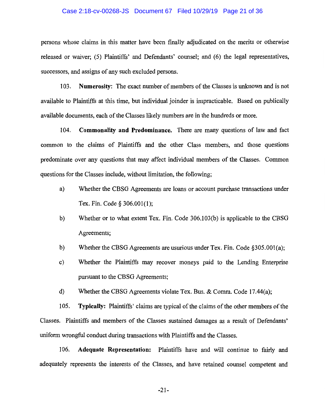#### Case 2:18-cv-00268-JS Document 67 Filed 10/29/19 Page 21 of 36

persons whose claims in this matter have been finally adjudicated on the merits or otherwise released or waiver; (5) Plaintiffs' and Defendants' counsel; and (6) the legal representatives, successors, and assigns of any such excluded persons.

103. **Numerosity:** The exact number of members of the Classes is unknown and is not available to Plaintiffs at this time, but individual joinder is impracticable. Based on publically available documents, each of the Classes likely numbers are in the hundreds or more.

104. **Commonality and Predominance.** There are many questions of law and fact common to the claims of Plaintiffs and the other Class members, and those questions predominate over any questions that may affect individual members of the Classes. Common questions for the Classes include, without limitation, the following;

- a) Whether the CBSG Agreements are loans or account purchase transactions under Tex. Fin. Code§ 306.001(1);
- b) Whether or to what extent Tex. Fin. Code 306.I03(b) is applicable to the CBSG Agreements;
- b) Whether the CBSG Agreements are usurious under Tex. Fin. Code §305.00I(a);
- c) Whether the Plaintiffs may recover moneys paid to the Lending Enterprise pursuant to the CBSG Agreements;
- d) Whether the CBSG Agreements violate Tex. Bus. & Comm. Code 17.44(a);

105. **Typically:** Plaintiffs' claims are typical of the claims of the other members of the Classes. Plaintiffs and members of the Classes sustained damages as a result of Defendants' uniform wrongful conduct during transactions with Plaintiffs and the Classes.

106. **Adequate Representation:** Plaintiffs have and will continue to fairly and adequately represents the interests of the Classes, and have retained counsel competent and

-21-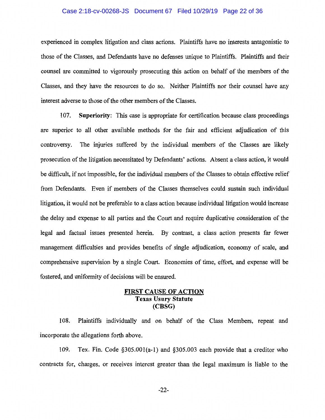### Case 2:18-cv-00268-JS Document 67 Filed 10/29/19 Page 22 of 36

experienced in complex litigation and class actions. Plaintiffs have no interests antagonistic to those of the Classes, and Defendants have no defenses unique to Plaintiffs. Plaintiffs and their counsel are committed to vigorously prosecuting this action on behalf of the members of the Classes, and they have the resources to do so. Neither Plaintiffs nor their counsel have any interest adverse to those of the other members of the Classes.

107. **Superiority:** This case is appropriate for certification because class proceedings are superior to all other available methods for the fair and efficient adjudication of this controversy. The injuries suffered by the individual members of the Classes are likely prosecution of the litigation necessitated by Defendants' actions. Absent a class action, it would be difficult, if not impossible, for the individual members of the Classes to obtain effective relief from Defendants. Even if members of the Classes themselves could sustain such individual litigation, it would not be preferable to a class action because individual litigation would increase the delay and expense to all parties and the Court and require duplicative consideration of the legal and factual issues presented herein. By contrast, a class action presents far fewer management difficulties and provides benefits of single adjudication, economy of scale, and comprehensive supervision by a single Court. Economies of time, effort, and expense will be fostered, and uniformity of decisions will be ensured.

## **FIRST CAUSE OF ACTION Texas Usury Statute (CBSG)**

108. Plaintiffs individually and on behalf of the Class Members, repeat and incorporate the allegations forth above.

109. Tex. Fin. Code §305.00l(a-1) and §305.003 each provide that a creditor who contracts for, charges, or receives interest greater than the legal maximum is liable to the

-22-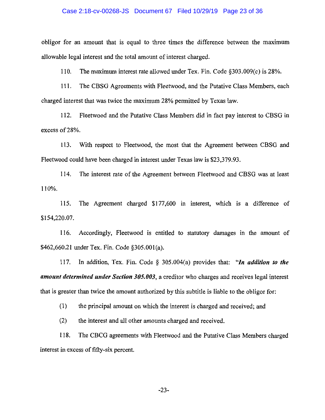### Case 2:18-cv-00268-JS Document 67 Filed 10/29/19 Page 23 of 36

obliger for an amount that is equal to three times the difference between the maximum allowable legal interest and the total amount of interest charged.

110. The maximum interest rate allowed under Tex. Fin. Code §303.009(c) is 28%.

111. The CBSG Agreements with Fleetwood, and the Putative Class Members, each charged interest that was twice the maximum 28% permitted by Texas law.

112. Fleetwood and the Putative Class Members did in fact pay interest to CBSG in excess of 28%.

113. With respect to Fleetwood, the most that the Agreement between CBSG and Fleetwood could have been charged in interest under Texas law is \$23,379.93.

114. The interest rate of the Agreement between Fleetwood and CBSG was at least 110%.

115. The Agreement charged \$177,600 in interest, which 1s a difference of \$154,220.07.

116. Accordingly, Fleetwood is entitled to statutory damages in the amount of \$462,660.21 under Tex. Fin. Code §305.00l(a).

117. In addition, Tex. Fin. Code § 305.004(a) provides that: *"In addition to the amount determined under Section 305.003,* a creditor who charges and receives legal interest that is greater than twice the amount authorized by this subtitle is liable to the obligor for:

(1) the principal amount on which the interest is charged and received; and

(2) the interest and all other amounts charged and received.

118. The CBCG agreements with Fleetwood and the Putative Class Members charged interest in excess of fifty-six percent.

-23-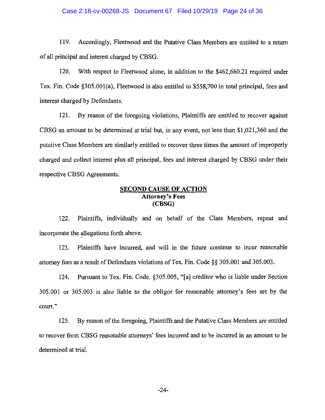### Case 2:18-cv-00268-JS Document 67 Filed 10/29/19 Page 24 of 36

119. Accordingly, Fleetwood and the Putative Class Members are entitled to a return of all principal and interest charged by CBSG.

120. With respect to Fleetwood alone, in addition to the \$462,660.21 required under Tex. Fin. Code §305.00l(a), Fleetwood is also entitled to \$558,700 in total principal, fees and interest charged by Defendants.

121. By reason of the foregoing violations, Plaintiffs are entitled to recover against CBSG an amount to be determined at trial but, in any event, not less than \$1,021,360 and the putative Class Members are similarly entitled to recover three times the amount of improperly charged and collect interest plus all principal, fees and interest charged by CBSG under their respective CBSG Agreements.

## **SECOND CAUSE OF ACTION Attorney's Fees (CBSG)**

122. Plaintiffs, individually and on behalf of the Class Members, repeat and incorporate the allegations forth above.

123. Plaintiffs have incurred, and will in the future continue to incur reasonable attorney fees as a result of Defendants violations of Tex. Fin. Code§§ 305.001 and 305.003.

124. Pursuant to Tex. Fin. Code. §305.005, "[a] creditor who is liable under Section 305.001 or 305.003 is also liable to the obligor for reasonable attorney's fees set by the court."

125. By reason of the foregoing, Plaintiffs and the Putative Class Members are entitled to recover from CBSG reasonable attorneys' fees incurred and to be incurred in an amount to be determined at trial.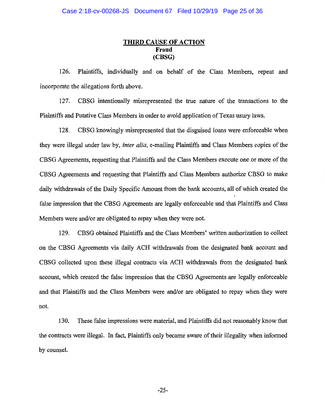# **THIRD CAUSE OF ACTION Fraud (CBSG)**

126. Plaintiffs, individually and on behalf of the Class Members, repeat and incorporate the allegations forth above.

127. CBSG intentionally misrepresented the true nature of the transactions to the Plaintiffs and Putative Class Members in order to avoid application of Texas usury laws.

128. CBSG knowingly misrepresented that the disguised loans were enforceable when they were illegal under law by, *inter alia,* e-mailing Plaintiffs and Class Members copies of the CBSG Agreements, requesting that Plaintiffs and the Class Members execute one or more of the CBSG Agreements and requesting that Plaintiffs and Class Members authorize CBSG to make daily withdrawals of the Daily Specific Amount from the bank accounts, all of which created the false impression that the CBSG Agreements are legally enforceable and that Plaintiffs and Class Members were and/or are obligated to repay when they were not.

129. CBSG obtained Plaintiffs and the Class Members' written authorization to collect on the CBSG Agreements via daily ACH withdrawals from the designated bank account and CBSG collected upon these illegal contracts via ACH withdrawals from the designated bank account, which created the false impression that the CBSG Agreements are legally enforceable and that Plaintiffs and the Class Members were and/or are obligated to repay when they were not.

130. These false impressions were material, and Plaintiffs did not reasonably know that the contracts were illegal. In fact, Plaintiffs only became aware of their illegality when informed by counsel.

-25-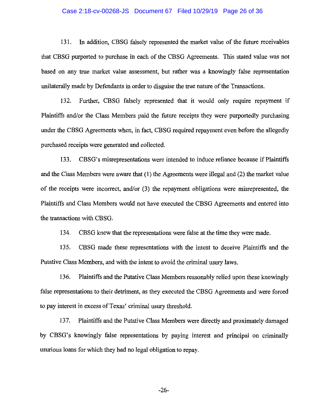#### Case 2:18-cv-00268-JS Document 67 Filed 10/29/19 Page 26 of 36

131. In addition, CBSG falsely represented the market value of the future receivables that CBSG purported to purchase in each of the CBSG Agreements. This stated value was not based on any true market value assessment, but rather was a knowingly false representation unilaterally made by Defendants in order to disguise the true nature of the Transactions.

132. Further, CBSG falsely represented that it would only require repayment if Plaintiffs and/or the Class Members paid the future receipts they were purportedly purchasing under the CBSG Agreements when, in fact, CBSG required repayment even before the allegedly purchased receipts were generated and collected.

133. CBSG's misrepresentations were intended to induce reliance because if Plaintiffs and the Class Members were aware that (1) the Agreements were illegal and (2) the market value of the receipts were incorrect, and/or (3) the repayment obligations were misrepresented, the Plaintiffs and Class Members would not have executed the CBSG Agreements and entered into the transactions with CBSG.

134. CBSG knew that the representations were false at the time they were made.

135. CBSG made these representations with the intent to deceive Plaintiffs and the Putative Class Members, and with the intent to avoid the criminal usury laws.

136. Plaintiffs and the Putative Class Members reasonably relied upon these knowingly false representations to their detriment, as they executed the CBSG Agreements and were forced to pay interest in excess of Texas' criminal usury threshold.

137. Plaintiffs and the Putative Class Members were directly and proximately damaged by CBSG's knowingly false representations by paying interest and principal on criminally usurious loans for which they had no legal obligation to repay.

-26-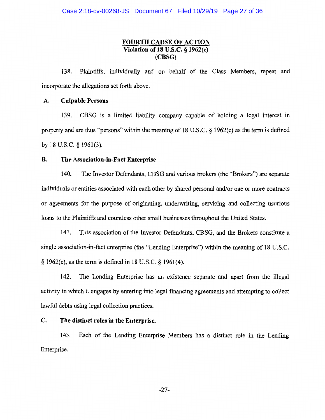## **FOURTH CAUSE OF ACTION Violation of 18 U.S.C.** § **1962(c) (CBSG)**

138. Plaintiffs, individually and on behalf of the Class Members, repeat and incorporate the allegations set forth above.

## **A. Culpable Persons**

139. CBSG is a limited liability company capable of holding a legal interest in property and are thus "persons" within the meaning of 18 U.S.C. § l 962(c) as the term is defined by 18 U.S.C. § 1961(3).

## **B. The Association-in-Fact Enterprise**

140. The Investor Defendants, CBSG and various brokers (the "Brokers") are separate individuals or entities associated with each other by shared personal and/or one or more contracts or agreements for the purpose of originating, underwriting, servicing and collecting usurious loans to the Plaintiffs and countless other small businesses throughout the United States.

141. This association of the Investor Defendants, CBSG, and the Brokers constitute a single association-in-fact enterprise (the "Lending Enterprise") within the meaning of 18 U.S.C. § I962(c), as the term is defined in 18 U.S.C. § 1961(4).

142. The Lending Enterprise has an existence separate and apart from the illegal activity in which it engages by entering into legal financing agreements and attempting to collect lawful debts using legal collection practices.

## **C. The distinct roles in the Enterprise.**

143. Each of the Lending Enterprise Members has a distinct role in the Lending Enterprise.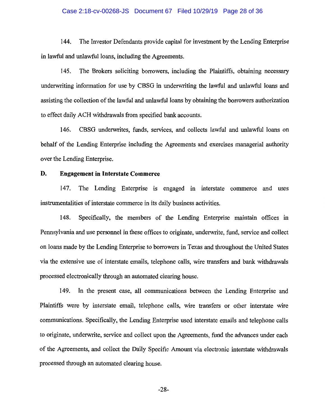### Case 2:18-cv-00268-JS Document 67 Filed 10/29/19 Page 28 of 36

144. The Investor Defendants provide capital for investment by the Lending Enterprise in lawful and unlawful loans, including the Agreements.

145. The Brokers soliciting borrowers, including the Plaintiffs, obtaining necessary underwriting information for use by CBSG in underwriting the lawful and unlawful loans and assisting the collection of the lawful and unlawful loans by obtaining the borrowers authorization to effect daily ACH withdrawals from specified bank accounts.

146. CBSG underwrites, funds, services, and collects lawful and unlawful loans on behalf of the Lending Enterprise including the Agreements and exercises managerial authority over the Lending Enterprise.

## **D. Engagement in Interstate Commerce**

147. The Lending Enterprise is engaged in interstate commerce and uses instrumentalities of interstate commerce in its daily business activities.

148. Specifically, the members of the Lending Enterprise maintain offices in Pennsylvania and use personnel in these offices to originate, underwrite, fund, service and collect on loans made by the Lending Enterprise to borrowers in Texas and throughout the United States via the extensive use of interstate emails, telephone calls, wire transfers and bank withdrawals processed electronically through an automated clearing house.

149. In the present case, all communications between the Lending Enterprise and Plaintiffs were by interstate email, telephone calls, wire transfers or other interstate wire communications. Specifically, the Lending Enterprise used interstate emails and telephone calls to originate, underwrite, service and collect upon the Agreements, fund the advances under each of the Agreements, and collect the Daily Specific Amount via electronic interstate withdrawals processed through an automated clearing house.

-28-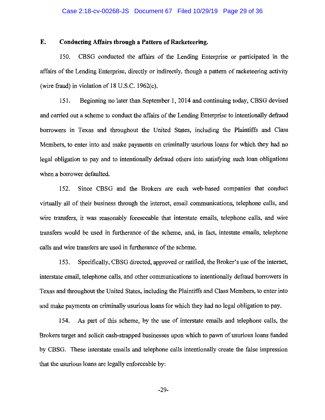#### Case 2:18-cv-00268-JS Document 67 Filed 10/29/19 Page 29 of 36

## **E. Conducting Affairs through a Pattern of Racketeering.**

150. CBSG conducted the affairs of the Lending Enterprise or participated in the affairs of the Lending Enterprise, directly or indirectly, though a pattern of racketeering activity (wire fraud) in violation of 18 U.S.C. 1962(c).

151. Beginning no later than September 1, 2014 and continuing today, CBSG devised and carried out a scheme to conduct the affairs of the Lending Enterprise to intentionally defraud borrowers in Texas and throughout the United States, including the Plaintiffs and Class Members, to enter into and make payments on criminally usurious loans for which they had no legal obligation to pay and to intentionally defraud others into satisfying such loan obligations when a borrower defaulted.

152. Since CBSG and the Brokers are each web-based companies that conduct virtually all of their business through the internet, email communications, telephone calls, and wire transfers, it was reasonably foreseeable that interstate emails, telephone calls, and wire transfers would be used in furtherance of the scheme, and, in fact, intestate emails, telephone calls and wire transfers are used in furtherance of the scheme.

153. Specifically, CBSG directed, approved or ratified, the Broker's use of the internet, interstate email, telephone calls, and other communications to intentionally defraud borrowers in Texas and throughout the United States, including the Plaintiffs and Class Members, to enter into and make payments on criminally usurious loans for which they had no legal obligation to pay.

154. As part of this scheme, by the use of interstate emails and telephone calls, the Brokers target and solicit cash-strapped businesses upon which to pawn of usurious loans funded by CBSG. These interstate emails and telephone calls intentionally create the false impression that the usurious loans are legally enforceable by:

-29-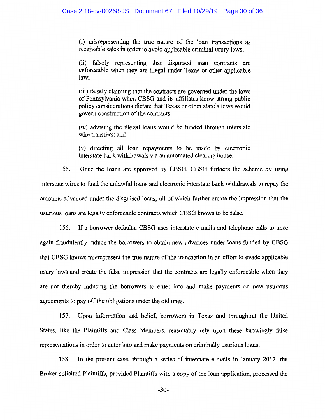(i) misrepresenting the true nature of the loan transactions as receivable sales in order to avoid applicable criminal usury laws;

(ii) falsely representing that disguised loan contracts are enforceable when they are illegal under Texas or other applicable law;

(iii) falsely claiming that the contracts are governed under the laws of Pennsylvania when CBSG and its affiliates know strong public policy considerations dictate that Texas or other state's laws would govern construction of the contracts;

(iv) advising the illegal loans would be funded through interstate wire transfers; and

(v) directing all loan repayments to be made by electronic interstate bank withdrawals via an automated clearing house.

155. Once the loans are approved by CBSG, CBSG furthers the scheme by using interstate wires to fund the unlawful loans and electronic interstate bank withdrawals to repay the amounts advanced under the disguised loans, all of which further create the impression that the usurious loans are legally enforceable contracts which CBSG knows to be false.

156. If a borrower defaults, CBSG uses interstate e-mails and telephone calls to once again fraudulently induce the borrowers to obtain new advances under loans funded by CBSG that CBSG knows misrepresent the true nature of the transaction in an effort to evade applicable usury laws and create the false impression that the contracts are legally enforceable when they are not thereby inducing the borrowers to enter into and make payments on new usurious agreements to pay off the obligations under the old ones.

157. Upon information and belief, borrowers in Texas and throughout the United States, like the Plaintiffs and Class Members, reasonably rely upon these knowingly false representations in order to enter into and make payments on criminally usurious loans.

158. In the present case, through a series of interstate e-mails in January 2017, the Broker solicited Plaintiffs, provided Plaintiffs with a copy of the loan application, processed the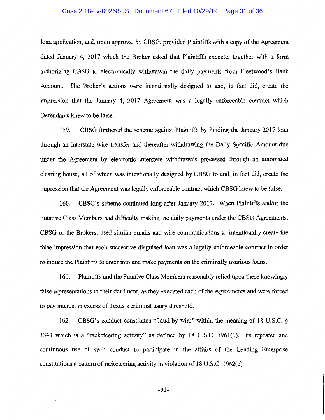### Case 2:18-cv-00268-JS Document 67 Filed 10/29/19 Page 31 of 36

loan application, and, upon approval by CBSG, provided Plaintiffs with a copy of the Agreement dated January 4, 2017 which the Broker asked that Plaintiffs execute, together with a form authorizing CBSG to electronically withdrawal the daily payments from Fleetwood's Bank Account. The Broker's actions were intentionally designed to and, in fact did, create the impression that the January 4, 2017 Agreement was a legally enforceable contract which Defendants knew to be false.

159. CBSG furthered the scheme against Plaintiffs by funding the January 2017 loan through an interstate wire transfer and thereafter withdrawing the Daily Specific Amount due under the Agreement by electronic interstate withdrawals processed through an automated clearing house, all of which was intentionally designed by CBSG to and, in fact did, create the impression that the Agreement was legally enforceable contract which CBSG knew to be false.

160. CBSG's scheme continued long after January 2017. When Plaintiffs and/or the Putative Class Members had difficulty making the daily payments under the CBSG Agreements, CBSG or the Brokers, used similar emails and wire communications to intentionally create the false impression that each successive disguised loan was a legally enforceable contract in order to induce the Plaintiffs to enter into and make payments on the criminally usurious loans.

161. Plaintiffs and the Putative Class Members reasonably relied upon these knowingly false representations to their detriment, as they executed each of the Agreements and were forced to pay interest in excess of Texas's criminal usury threshold.

162. CBSG's conduct constitutes ''fraud by wire" within the meaning of 18 U.S.C. § 1343 which is a "racketeering activity" as defined by 18 U.S.C. 1961(1). Its repeated and continuous use of such conduct to participate in the affairs of the Lending Enterprise constitutions a pattern of racketeering activity in violation of 18 U.S.C. 1962(c).

-31-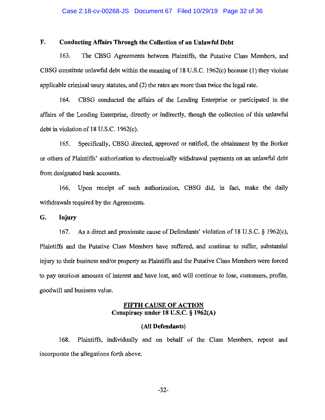### Case 2:18-cv-00268-JS Document 67 Filed 10/29/19 Page 32 of 36

## **F. Conducting Affairs Through the Collection of an Unlawful Debt**

163. The CBSG Agreements between Plaintiffs, the Putative Class Members, and CBSG constitute unlawful debt within the meaning of 18 U.S.C. 1962(c) because (1) they violate applicable criminal usury statutes, and (2) the rates are more than twice the legal rate.

164. CBSG conducted the affairs of the Lending Enterprise or participated in the affairs of the Lending Enterprise, directly or indirectly, though the collection of this unlawful debt in violation of 18 U.S.C. 1962(c).

165. Specifically, CBSG directed, approved or ratified, the obtainment by the Borker or others of Plaintiffs' authorization to electronically withdrawal payments on an unlawful debt from designated bank accounts.

166. Upon receipt of such authorization, CBSG did, in fact, make the daily withdrawals required by the Agreements.

## **G. Injury**

167. As a direct and proximate cause of Defendants' violation of 18 U.S.C. § 1962(c), Plaintiffs and the Putative Class Members have suffered, and continue to suffer, substantial injury to their business and/or property as Plaintiffs and the Putative Class Members were forced to pay usurious amounts of interest and have lost, and will continue to lose, customers, profits, goodwill and business value.

## **FIFTH CAUSE OF ACTION Conspiracy under 18** *V.S.C.* § **1962(A)**

### **(All Defendants)**

168. Plaintiffs, individually and on behalf of the Class Members, repeat and incorporate the allegations forth above.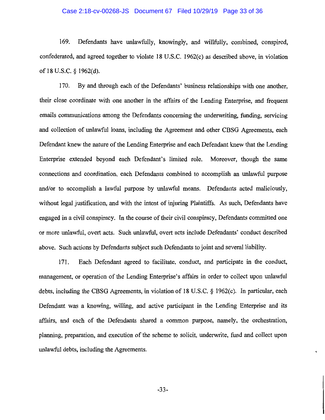#### Case 2:18-cv-00268-JS Document 67 Filed 10/29/19 Page 33 of 36

169. Defendants have unlawfully, knowingly, and willfully, combined, conspired, confederated, and agreed together to violate 18 U.S.C. 1962(c) as described above, in violation of 18 U.S.C. § 1962(d).

170. By and through each of the Defendants' business relationships with one another, their close coordinate with one another in the affairs of the Lending Enterprise, and frequent emails communications among the Defendants concerning the underwriting, funding, servicing and collection of unlawful loans, including the Agreement and other CBSG Agreements, each Defendant knew the nature of the Lending Enterprise and each Defendant knew that the Lending Enterprise extended beyond each Defendant's limited role. Moreover, though the same connections and coordination, each Defendants combined to accomplish an unlawful purpose and/or to accomplish a lawful purpose by unlawful means. Defendants acted maliciously, without legal justification, and with the intent of injuring Plaintiffs. As such, Defendants have engaged in a civil conspiracy. In the course of their civil conspiracy, Defendants committed one or more unlawful, overt acts. Such unlawful, overt acts include Defendants' conduct described above. Such actions by Defendants subject such Defendants to joint and several liability.

171. Each Defendant agreed to facilitate, conduct, and participate in the conduct, management, or operation of the Lending Enterprise's affairs in order to collect upon unlawful debts, including the CBSG Agreements, in violation of 18 U.S.C. § 1962(c). In particular, each Defendant was a knowing, willing, and active participant in the Lending Enterprise and its affairs, and each of the Defendants shared a common purpose, namely, the orchestration, planning, preparation, and execution of the scheme to solicit, underwrite, fund and collect upon unlawful debts, including the Agreements.

ţ,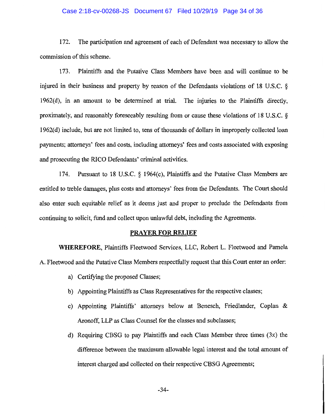#### Case 2:18-cv-00268-JS Document 67 Filed 10/29/19 Page 34 of 36

172. The participation and agreement of each of Defendant was necessary to allow the commission of this scheme.

173. Plaintiffs and the Putative Class Members have been and will continue to be injured in their business and property by reason of the Defendants violations of 18 U.S.C. § 1962(d), in an amount to be determined at trial. The injuries to the Plaintiffs directly, proximately, and reasonably foreseeably resulting from or cause these violations of 18 U.S.C. § 1962( d) include, but are not limited to, tens of thousands of dollars in improperly collected loan payments; attorneys' fees and costs, including attorneys' fees and costs associated with exposing and prosecuting the RICO Defendants' criminal activities.

174. Pursuant to 18 U.S.C. § l 964(c), Plaintiffs and the Putative Class Members are entitled to treble damages, plus costs and attorneys' fees from the Defendants. The Court should also enter such equitable relief as it deems just and proper to preclude the Defendants from continuing to solicit, fund and collect upon unlawful debt, including the Agreements.

### **PRAYER FOR RELIEF**

**WHEREFORE,** Plaintiffs Fleetwood Services, LLC, Robert L. Fleetwood and Pamela A. Fleetwood and the Putative Class Members respectfully request that this Court enter an order:

- a) Certifying the proposed Classes;
- b) Appointing Plaintiffs as Class Representatives for the respective classes;
- c) Appointing Plaintiffs' attorneys below at Benesch, Friedlander, Coplan & Aronoff, LLP as Class Counsel for the classes and subclasses;
- d) Requiring CBSG to pay Plaintiffs and each Class Member three times (3x) the difference between the maximum allowable legal interest and the total amount of interest charged and collected on their respective CBSG Agreements;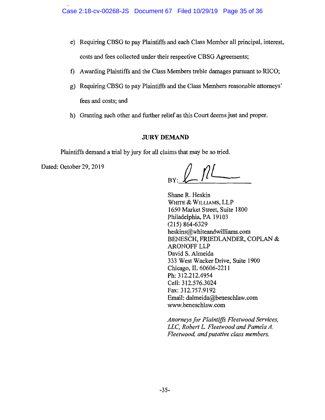- e) Requiring CBSG to pay Plaintiffs and each Class Member all principal, interest, costs and fees collected under their respective CBSG Agreements;
- f) Awarding Plaintiffs and the Class Members treble damages pursuant to RICO;
- g) Requiring CBSG to pay Plaintiffs and the Class Members reasonable attorneys' fees and costs; and
- h) Granting such other and further relief as this Court deems just and proper.

# **JURY DEMAND**

Plaintiffs demand a trial by jury for all claims that may be so tried.

Dated: October 29, 2019

Shane R. Heskin WHITE & WILLIAMS, LLP 1650 Market Street, Suite 1800 Philadelphia, PA 19103 (215) 864-6329 heskins@whiteandwilliams.com BENESCH, FRIEDLANDER, COPLAN & **ARONOFF LLP** David S. Almeida 333 West Wacker Drive, Suite 1900 Chicago, IL 60606-2211 Ph: 312.212.4954 Cell: 312.576.3024 Fax: 312.757.9192 Email: dalmeida@beneschlaw.com www.beneschlaw.com

*Attorneys for Plaintiffs Fleetwood Services, LLC, Robert* L. *Fleetwood and Pamela A. Fleetwood, and putative class members.*